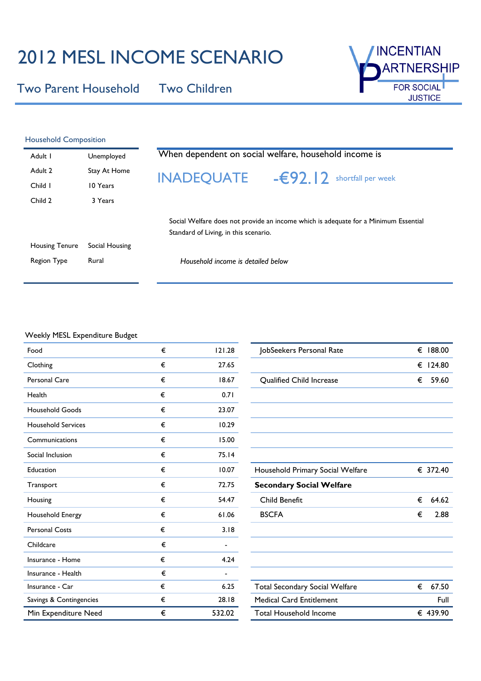# 2012 MESL INCOME SCENARIO

Two Parent Household Two Children



| <b>Household Composition</b> |                |                                                                                                                              |
|------------------------------|----------------|------------------------------------------------------------------------------------------------------------------------------|
| Adult I                      | Unemployed     | When dependent on social welfare, household income is                                                                        |
| Adult <sub>2</sub>           | Stay At Home   | <b>INADEQUATE</b><br>$ \epsilon$ 92. 2 shortfall per week                                                                    |
| Child I                      | 10 Years       |                                                                                                                              |
| Child 2                      | 3 Years        |                                                                                                                              |
|                              |                | Social Welfare does not provide an income which is adequate for a Minimum Essential<br>Standard of Living, in this scenario. |
| <b>Housing Tenure</b>        | Social Housing |                                                                                                                              |
| Region Type                  | Rural          | Household income is detailed below                                                                                           |
|                              |                |                                                                                                                              |

### Weekly MESL Expenditure Budget

| Food                      | € | 121.28                   | JobSeekers Personal Rate              | € | 188.00   |
|---------------------------|---|--------------------------|---------------------------------------|---|----------|
| Clothing                  | € | 27.65                    |                                       | € | 124.80   |
| <b>Personal Care</b>      | € | 18.67                    | Qualified Child Increase              | € | 59.60    |
| Health                    | € | 0.71                     |                                       |   |          |
| <b>Household Goods</b>    | € | 23.07                    |                                       |   |          |
| <b>Household Services</b> | € | 10.29                    |                                       |   |          |
| Communications            | € | 15.00                    |                                       |   |          |
| Social Inclusion          | € | 75.14                    |                                       |   |          |
| Education                 | € | 10.07                    | Household Primary Social Welfare      |   | € 372.40 |
| Transport                 | € | 72.75                    | <b>Secondary Social Welfare</b>       |   |          |
| Housing                   | € | 54.47                    | Child Benefit                         | € | 64.62    |
| Household Energy          | € | 61.06                    | <b>BSCFA</b>                          | € | 2.88     |
| <b>Personal Costs</b>     | € | 3.18                     |                                       |   |          |
| Childcare                 | € | $\blacksquare$           |                                       |   |          |
| Insurance - Home          | € | 4.24                     |                                       |   |          |
| Insurance - Health        | € | $\overline{\phantom{a}}$ |                                       |   |          |
| Insurance - Car           | € | 6.25                     | <b>Total Secondary Social Welfare</b> | € | 67.50    |
| Savings & Contingencies   | € | 28.18                    | <b>Medical Card Entitlement</b>       |   | Full     |
| Min Expenditure Need      | € | 532.02                   | <b>Total Household Income</b>         |   | € 439.90 |

| JobSeekers Personal Rate              | € | 188.00   |
|---------------------------------------|---|----------|
|                                       | € | 124.80   |
| <b>Qualified Child Increase</b>       | € | 59.60    |
|                                       |   |          |
|                                       |   |          |
|                                       |   |          |
|                                       |   |          |
|                                       |   |          |
| Household Primary Social Welfare      |   | € 372.40 |
| <b>Secondary Social Welfare</b>       |   |          |
| Child Benefit                         | € | 64.62    |
| <b>BSCFA</b>                          | € | 2.88     |
|                                       |   |          |
|                                       |   |          |
|                                       |   |          |
|                                       |   |          |
| <b>Total Secondary Social Welfare</b> | € | 67.50    |
| <b>Medical Card Entitlement</b>       |   | Full     |
| <b>Total Household Income</b>         |   | € 439.90 |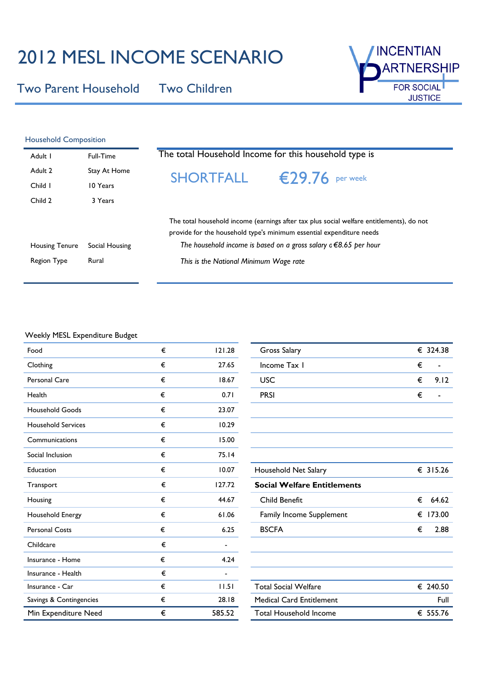# 2012 MESL INCOME SCENARIO

Two Parent Household Two Children



| <b>Household Composition</b> |                |                                                                                                                                                                                                                                           |  |  |  |  |  |
|------------------------------|----------------|-------------------------------------------------------------------------------------------------------------------------------------------------------------------------------------------------------------------------------------------|--|--|--|--|--|
| Adult I                      | Full-Time      | The total Household Income for this household type is                                                                                                                                                                                     |  |  |  |  |  |
| Adult 2                      | Stay At Home   | <b>SHORTFALL</b><br>$\epsilon$ 29.76 per week                                                                                                                                                                                             |  |  |  |  |  |
| Child I                      | 10 Years       |                                                                                                                                                                                                                                           |  |  |  |  |  |
| Child 2                      | 3 Years        |                                                                                                                                                                                                                                           |  |  |  |  |  |
| <b>Housing Tenure</b>        | Social Housing | The total household income (earnings after tax plus social welfare entitlements), do not<br>provide for the household type's minimum essential expenditure needs<br>The household income is based on a gross salary $c \in 8.65$ per hour |  |  |  |  |  |
| <b>Region Type</b>           | Rural          | This is the National Minimum Wage rate                                                                                                                                                                                                    |  |  |  |  |  |
|                              |                |                                                                                                                                                                                                                                           |  |  |  |  |  |

### Weekly MESL Expenditure Budget

| Food                      | € | 121.28         | Gross Salary                       | € 324.38    |
|---------------------------|---|----------------|------------------------------------|-------------|
| Clothing                  | € | 27.65          | Income Tax I                       | €           |
| Personal Care             | € | 18.67          | <b>USC</b>                         | €<br>9.12   |
| Health                    | € | 0.71           | <b>PRSI</b>                        | €           |
| <b>Household Goods</b>    | € | 23.07          |                                    |             |
| <b>Household Services</b> | € | 10.29          |                                    |             |
| Communications            | € | 15.00          |                                    |             |
| Social Inclusion          | € | 75.14          |                                    |             |
| Education                 | € | 10.07          | Household Net Salary               | € 315.26    |
| Transport                 | € | 127.72         | <b>Social Welfare Entitlements</b> |             |
| Housing                   | € | 44.67          | Child Benefit                      | 64.62<br>€  |
| Household Energy          | € | 61.06          | Family Income Supplement           | 173.00<br>€ |
| <b>Personal Costs</b>     | € | 6.25           | <b>BSCFA</b>                       | 2.88<br>€   |
| Childcare                 | € | $\blacksquare$ |                                    |             |
| Insurance - Home          | € | 4.24           |                                    |             |
| Insurance - Health        | € | $\blacksquare$ |                                    |             |
| Insurance - Car           | € | 11.51          | <b>Total Social Welfare</b>        | € 240.50    |
| Savings & Contingencies   | € | 28.18          | <b>Medical Card Entitlement</b>    | Full        |
| Min Expenditure Need      | € | 585.52         | Total Household Income             | € 555.76    |

| <b>Gross Salary</b>                |   | € 324.38 |
|------------------------------------|---|----------|
| Income Tax I                       | € |          |
| <b>USC</b>                         | € | 9.12     |
| <b>PRSI</b>                        | € |          |
|                                    |   |          |
|                                    |   |          |
|                                    |   |          |
|                                    |   |          |
| Household Net Salary               |   | € 315.26 |
| <b>Social Welfare Entitlements</b> |   |          |
| Child Benefit                      | € | 64.62    |
| Family Income Supplement           | € | 173.00   |
| <b>BSCFA</b>                       | € | 2.88     |
|                                    |   |          |
|                                    |   |          |
|                                    |   |          |
| <b>Total Social Welfare</b>        |   | € 240.50 |
| <b>Medical Card Entitlement</b>    |   | Full     |
| Total Household Income             |   | € 555.76 |